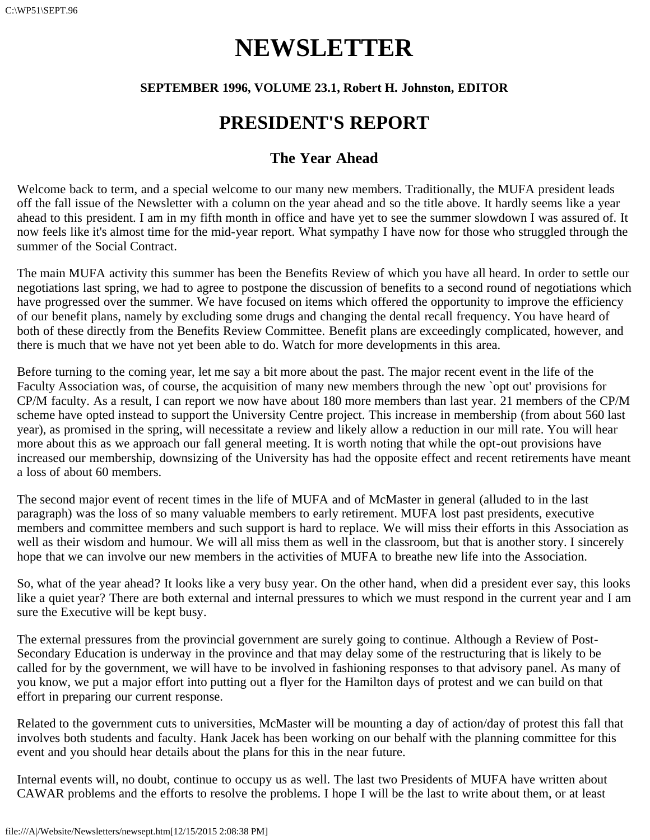# **NEWSLETTER**

#### **SEPTEMBER 1996, VOLUME 23.1, Robert H. Johnston, EDITOR**

### **PRESIDENT'S REPORT**

#### **The Year Ahead**

Welcome back to term, and a special welcome to our many new members. Traditionally, the MUFA president leads off the fall issue of the Newsletter with a column on the year ahead and so the title above. It hardly seems like a year ahead to this president. I am in my fifth month in office and have yet to see the summer slowdown I was assured of. It now feels like it's almost time for the mid-year report. What sympathy I have now for those who struggled through the summer of the Social Contract.

The main MUFA activity this summer has been the Benefits Review of which you have all heard. In order to settle our negotiations last spring, we had to agree to postpone the discussion of benefits to a second round of negotiations which have progressed over the summer. We have focused on items which offered the opportunity to improve the efficiency of our benefit plans, namely by excluding some drugs and changing the dental recall frequency. You have heard of both of these directly from the Benefits Review Committee. Benefit plans are exceedingly complicated, however, and there is much that we have not yet been able to do. Watch for more developments in this area.

Before turning to the coming year, let me say a bit more about the past. The major recent event in the life of the Faculty Association was, of course, the acquisition of many new members through the new `opt out' provisions for CP/M faculty. As a result, I can report we now have about 180 more members than last year. 21 members of the CP/M scheme have opted instead to support the University Centre project. This increase in membership (from about 560 last year), as promised in the spring, will necessitate a review and likely allow a reduction in our mill rate. You will hear more about this as we approach our fall general meeting. It is worth noting that while the opt-out provisions have increased our membership, downsizing of the University has had the opposite effect and recent retirements have meant a loss of about 60 members.

The second major event of recent times in the life of MUFA and of McMaster in general (alluded to in the last paragraph) was the loss of so many valuable members to early retirement. MUFA lost past presidents, executive members and committee members and such support is hard to replace. We will miss their efforts in this Association as well as their wisdom and humour. We will all miss them as well in the classroom, but that is another story. I sincerely hope that we can involve our new members in the activities of MUFA to breathe new life into the Association.

So, what of the year ahead? It looks like a very busy year. On the other hand, when did a president ever say, this looks like a quiet year? There are both external and internal pressures to which we must respond in the current year and I am sure the Executive will be kept busy.

The external pressures from the provincial government are surely going to continue. Although a Review of Post-Secondary Education is underway in the province and that may delay some of the restructuring that is likely to be called for by the government, we will have to be involved in fashioning responses to that advisory panel. As many of you know, we put a major effort into putting out a flyer for the Hamilton days of protest and we can build on that effort in preparing our current response.

Related to the government cuts to universities, McMaster will be mounting a day of action/day of protest this fall that involves both students and faculty. Hank Jacek has been working on our behalf with the planning committee for this event and you should hear details about the plans for this in the near future.

Internal events will, no doubt, continue to occupy us as well. The last two Presidents of MUFA have written about CAWAR problems and the efforts to resolve the problems. I hope I will be the last to write about them, or at least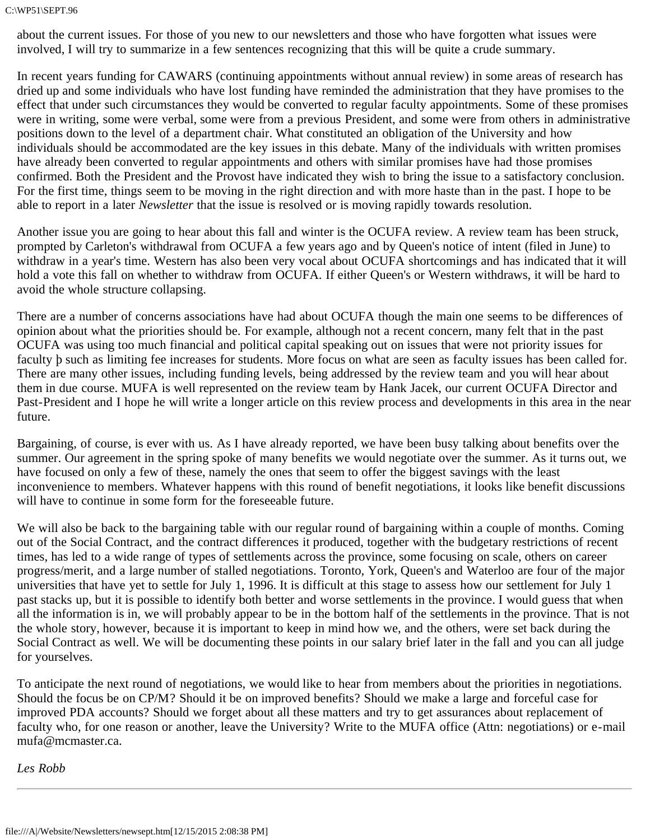#### C:\WP51\SEPT.96

about the current issues. For those of you new to our newsletters and those who have forgotten what issues were involved, I will try to summarize in a few sentences recognizing that this will be quite a crude summary.

In recent years funding for CAWARS (continuing appointments without annual review) in some areas of research has dried up and some individuals who have lost funding have reminded the administration that they have promises to the effect that under such circumstances they would be converted to regular faculty appointments. Some of these promises were in writing, some were verbal, some were from a previous President, and some were from others in administrative positions down to the level of a department chair. What constituted an obligation of the University and how individuals should be accommodated are the key issues in this debate. Many of the individuals with written promises have already been converted to regular appointments and others with similar promises have had those promises confirmed. Both the President and the Provost have indicated they wish to bring the issue to a satisfactory conclusion. For the first time, things seem to be moving in the right direction and with more haste than in the past. I hope to be able to report in a later *Newsletter* that the issue is resolved or is moving rapidly towards resolution.

Another issue you are going to hear about this fall and winter is the OCUFA review. A review team has been struck, prompted by Carleton's withdrawal from OCUFA a few years ago and by Queen's notice of intent (filed in June) to withdraw in a year's time. Western has also been very vocal about OCUFA shortcomings and has indicated that it will hold a vote this fall on whether to withdraw from OCUFA. If either Queen's or Western withdraws, it will be hard to avoid the whole structure collapsing.

There are a number of concerns associations have had about OCUFA though the main one seems to be differences of opinion about what the priorities should be. For example, although not a recent concern, many felt that in the past OCUFA was using too much financial and political capital speaking out on issues that were not priority issues for faculty þ such as limiting fee increases for students. More focus on what are seen as faculty issues has been called for. There are many other issues, including funding levels, being addressed by the review team and you will hear about them in due course. MUFA is well represented on the review team by Hank Jacek, our current OCUFA Director and Past-President and I hope he will write a longer article on this review process and developments in this area in the near future.

Bargaining, of course, is ever with us. As I have already reported, we have been busy talking about benefits over the summer. Our agreement in the spring spoke of many benefits we would negotiate over the summer. As it turns out, we have focused on only a few of these, namely the ones that seem to offer the biggest savings with the least inconvenience to members. Whatever happens with this round of benefit negotiations, it looks like benefit discussions will have to continue in some form for the foreseeable future.

We will also be back to the bargaining table with our regular round of bargaining within a couple of months. Coming out of the Social Contract, and the contract differences it produced, together with the budgetary restrictions of recent times, has led to a wide range of types of settlements across the province, some focusing on scale, others on career progress/merit, and a large number of stalled negotiations. Toronto, York, Queen's and Waterloo are four of the major universities that have yet to settle for July 1, 1996. It is difficult at this stage to assess how our settlement for July 1 past stacks up, but it is possible to identify both better and worse settlements in the province. I would guess that when all the information is in, we will probably appear to be in the bottom half of the settlements in the province. That is not the whole story, however, because it is important to keep in mind how we, and the others, were set back during the Social Contract as well. We will be documenting these points in our salary brief later in the fall and you can all judge for yourselves.

To anticipate the next round of negotiations, we would like to hear from members about the priorities in negotiations. Should the focus be on CP/M? Should it be on improved benefits? Should we make a large and forceful case for improved PDA accounts? Should we forget about all these matters and try to get assurances about replacement of faculty who, for one reason or another, leave the University? Write to the MUFA office (Attn: negotiations) or e-mail mufa@mcmaster.ca.

*Les Robb*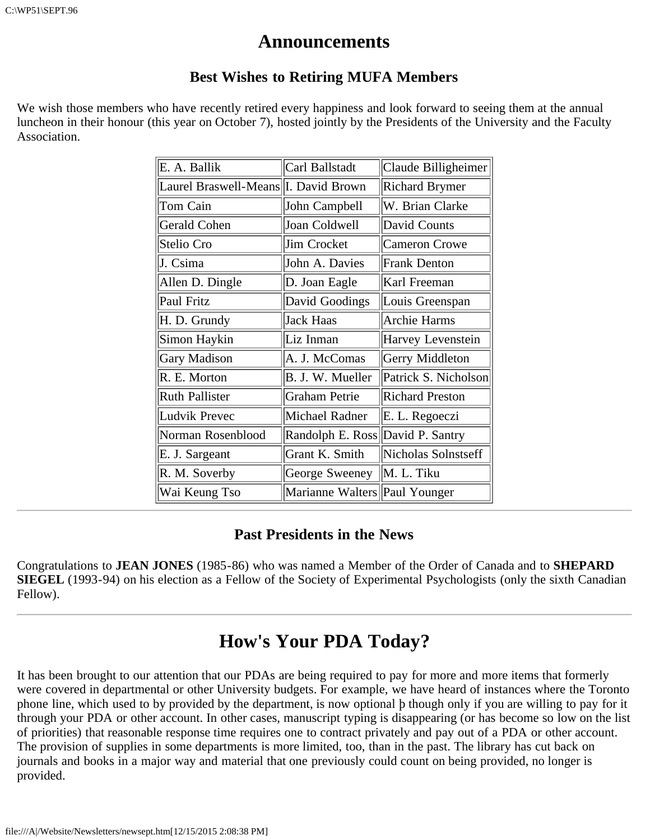### **Announcements**

#### **Best Wishes to Retiring MUFA Members**

We wish those members who have recently retired every happiness and look forward to seeing them at the annual luncheon in their honour (this year on October 7), hosted jointly by the Presidents of the University and the Faculty Association.

| E. A. Ballik                          | Carl Ballstadt                | Claude Billigheimer    |
|---------------------------------------|-------------------------------|------------------------|
| Laurel Braswell-Means  I. David Brown |                               | <b>Richard Brymer</b>  |
| Tom Cain                              | John Campbell                 | W. Brian Clarke        |
| Gerald Cohen                          | Joan Coldwell                 | David Counts           |
| Stelio Cro                            | Jim Crocket                   | Cameron Crowe          |
| J. Csima                              | John A. Davies                | <b>Frank Denton</b>    |
| Allen D. Dingle                       | D. Joan Eagle                 | Karl Freeman           |
| Paul Fritz                            | David Goodings                | Louis Greenspan        |
| H. D. Grundy                          | Jack Haas                     | Archie Harms           |
| Simon Haykin                          | Liz Inman                     | Harvey Levenstein      |
| <b>Gary Madison</b>                   | A. J. McComas                 | Gerry Middleton        |
| R. E. Morton                          | B. J. W. Mueller              | Patrick S. Nicholson   |
| <b>Ruth Pallister</b>                 | <b>Graham Petrie</b>          | <b>Richard Preston</b> |
| <b>Ludvik Prevec</b>                  | Michael Radner                | E. L. Regoeczi         |
| Norman Rosenblood                     | Randolph E. Ross              | David P. Santry        |
| E. J. Sargeant                        | Grant K. Smith                | Nicholas Solnstseff    |
| R. M. Soverby                         | George Sweeney                | M. L. Tiku             |
| Wai Keung Tso                         | Marianne Walters Paul Younger |                        |

#### **Past Presidents in the News**

Congratulations to **JEAN JONES** (1985-86) who was named a Member of the Order of Canada and to **SHEPARD SIEGEL** (1993-94) on his election as a Fellow of the Society of Experimental Psychologists (only the sixth Canadian Fellow).

## **How's Your PDA Today?**

It has been brought to our attention that our PDAs are being required to pay for more and more items that formerly were covered in departmental or other University budgets. For example, we have heard of instances where the Toronto phone line, which used to by provided by the department, is now optional þ though only if you are willing to pay for it through your PDA or other account. In other cases, manuscript typing is disappearing (or has become so low on the list of priorities) that reasonable response time requires one to contract privately and pay out of a PDA or other account. The provision of supplies in some departments is more limited, too, than in the past. The library has cut back on journals and books in a major way and material that one previously could count on being provided, no longer is provided.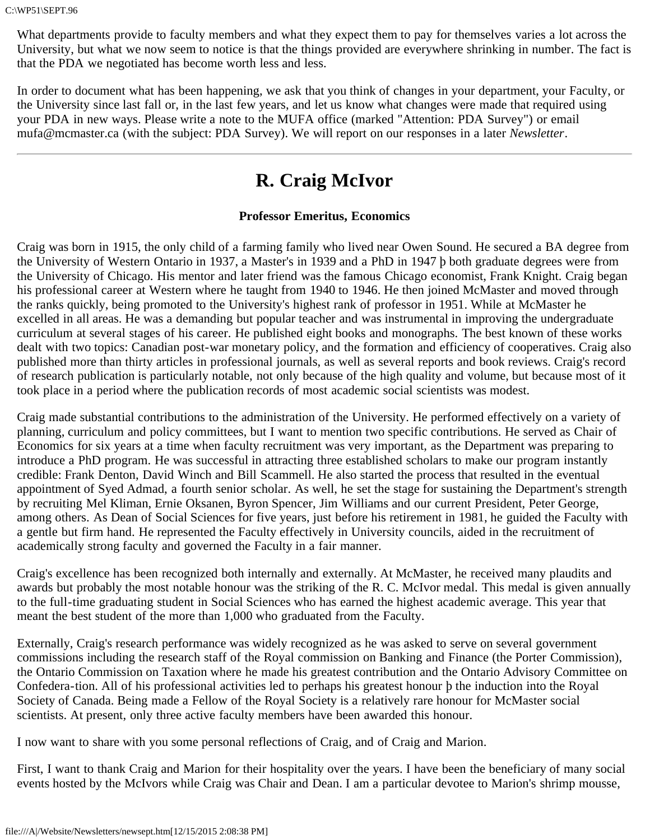What departments provide to faculty members and what they expect them to pay for themselves varies a lot across the University, but what we now seem to notice is that the things provided are everywhere shrinking in number. The fact is that the PDA we negotiated has become worth less and less.

In order to document what has been happening, we ask that you think of changes in your department, your Faculty, or the University since last fall or, in the last few years, and let us know what changes were made that required using your PDA in new ways. Please write a note to the MUFA office (marked "Attention: PDA Survey") or email mufa@mcmaster.ca (with the subject: PDA Survey). We will report on our responses in a later *Newsletter*.

## **R. Craig McIvor**

#### **Professor Emeritus, Economics**

Craig was born in 1915, the only child of a farming family who lived near Owen Sound. He secured a BA degree from the University of Western Ontario in 1937, a Master's in 1939 and a PhD in 1947 þ both graduate degrees were from the University of Chicago. His mentor and later friend was the famous Chicago economist, Frank Knight. Craig began his professional career at Western where he taught from 1940 to 1946. He then joined McMaster and moved through the ranks quickly, being promoted to the University's highest rank of professor in 1951. While at McMaster he excelled in all areas. He was a demanding but popular teacher and was instrumental in improving the undergraduate curriculum at several stages of his career. He published eight books and monographs. The best known of these works dealt with two topics: Canadian post-war monetary policy, and the formation and efficiency of cooperatives. Craig also published more than thirty articles in professional journals, as well as several reports and book reviews. Craig's record of research publication is particularly notable, not only because of the high quality and volume, but because most of it took place in a period where the publication records of most academic social scientists was modest.

Craig made substantial contributions to the administration of the University. He performed effectively on a variety of planning, curriculum and policy committees, but I want to mention two specific contributions. He served as Chair of Economics for six years at a time when faculty recruitment was very important, as the Department was preparing to introduce a PhD program. He was successful in attracting three established scholars to make our program instantly credible: Frank Denton, David Winch and Bill Scammell. He also started the process that resulted in the eventual appointment of Syed Admad, a fourth senior scholar. As well, he set the stage for sustaining the Department's strength by recruiting Mel Kliman, Ernie Oksanen, Byron Spencer, Jim Williams and our current President, Peter George, among others. As Dean of Social Sciences for five years, just before his retirement in 1981, he guided the Faculty with a gentle but firm hand. He represented the Faculty effectively in University councils, aided in the recruitment of academically strong faculty and governed the Faculty in a fair manner.

Craig's excellence has been recognized both internally and externally. At McMaster, he received many plaudits and awards but probably the most notable honour was the striking of the R. C. McIvor medal. This medal is given annually to the full-time graduating student in Social Sciences who has earned the highest academic average. This year that meant the best student of the more than 1,000 who graduated from the Faculty.

Externally, Craig's research performance was widely recognized as he was asked to serve on several government commissions including the research staff of the Royal commission on Banking and Finance (the Porter Commission), the Ontario Commission on Taxation where he made his greatest contribution and the Ontario Advisory Committee on Confedera-tion. All of his professional activities led to perhaps his greatest honour þ the induction into the Royal Society of Canada. Being made a Fellow of the Royal Society is a relatively rare honour for McMaster social scientists. At present, only three active faculty members have been awarded this honour.

I now want to share with you some personal reflections of Craig, and of Craig and Marion.

First, I want to thank Craig and Marion for their hospitality over the years. I have been the beneficiary of many social events hosted by the McIvors while Craig was Chair and Dean. I am a particular devotee to Marion's shrimp mousse,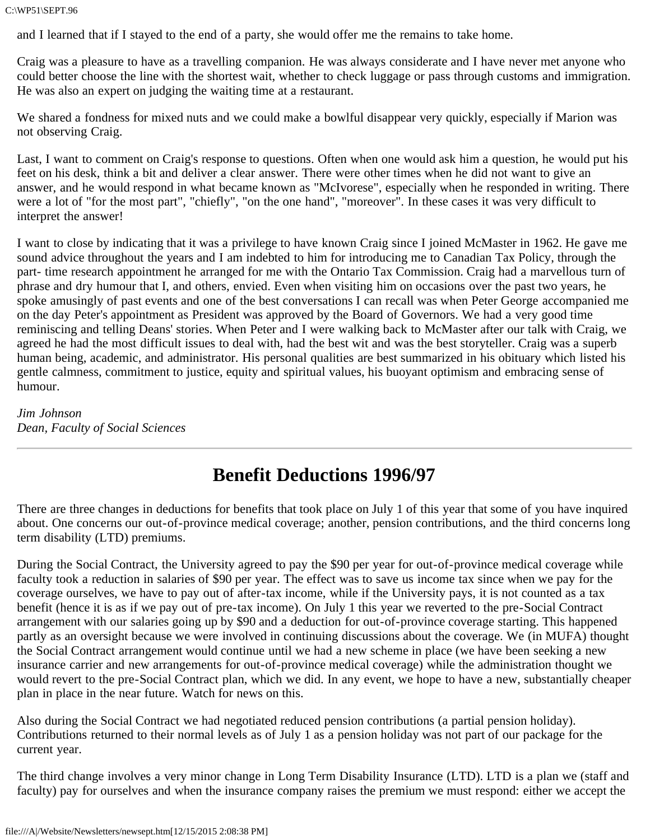C:\WP51\SEPT.96

and I learned that if I stayed to the end of a party, she would offer me the remains to take home.

Craig was a pleasure to have as a travelling companion. He was always considerate and I have never met anyone who could better choose the line with the shortest wait, whether to check luggage or pass through customs and immigration. He was also an expert on judging the waiting time at a restaurant.

We shared a fondness for mixed nuts and we could make a bowlful disappear very quickly, especially if Marion was not observing Craig.

Last, I want to comment on Craig's response to questions. Often when one would ask him a question, he would put his feet on his desk, think a bit and deliver a clear answer. There were other times when he did not want to give an answer, and he would respond in what became known as "McIvorese", especially when he responded in writing. There were a lot of "for the most part", "chiefly", "on the one hand", "moreover". In these cases it was very difficult to interpret the answer!

I want to close by indicating that it was a privilege to have known Craig since I joined McMaster in 1962. He gave me sound advice throughout the years and I am indebted to him for introducing me to Canadian Tax Policy, through the part- time research appointment he arranged for me with the Ontario Tax Commission. Craig had a marvellous turn of phrase and dry humour that I, and others, envied. Even when visiting him on occasions over the past two years, he spoke amusingly of past events and one of the best conversations I can recall was when Peter George accompanied me on the day Peter's appointment as President was approved by the Board of Governors. We had a very good time reminiscing and telling Deans' stories. When Peter and I were walking back to McMaster after our talk with Craig, we agreed he had the most difficult issues to deal with, had the best wit and was the best storyteller. Craig was a superb human being, academic, and administrator. His personal qualities are best summarized in his obituary which listed his gentle calmness, commitment to justice, equity and spiritual values, his buoyant optimism and embracing sense of humour.

*Jim Johnson Dean, Faculty of Social Sciences*

### **Benefit Deductions 1996/97**

There are three changes in deductions for benefits that took place on July 1 of this year that some of you have inquired about. One concerns our out-of-province medical coverage; another, pension contributions, and the third concerns long term disability (LTD) premiums.

During the Social Contract, the University agreed to pay the \$90 per year for out-of-province medical coverage while faculty took a reduction in salaries of \$90 per year. The effect was to save us income tax since when we pay for the coverage ourselves, we have to pay out of after-tax income, while if the University pays, it is not counted as a tax benefit (hence it is as if we pay out of pre-tax income). On July 1 this year we reverted to the pre-Social Contract arrangement with our salaries going up by \$90 and a deduction for out-of-province coverage starting. This happened partly as an oversight because we were involved in continuing discussions about the coverage. We (in MUFA) thought the Social Contract arrangement would continue until we had a new scheme in place (we have been seeking a new insurance carrier and new arrangements for out-of-province medical coverage) while the administration thought we would revert to the pre-Social Contract plan, which we did. In any event, we hope to have a new, substantially cheaper plan in place in the near future. Watch for news on this.

Also during the Social Contract we had negotiated reduced pension contributions (a partial pension holiday). Contributions returned to their normal levels as of July 1 as a pension holiday was not part of our package for the current year.

The third change involves a very minor change in Long Term Disability Insurance (LTD). LTD is a plan we (staff and faculty) pay for ourselves and when the insurance company raises the premium we must respond: either we accept the